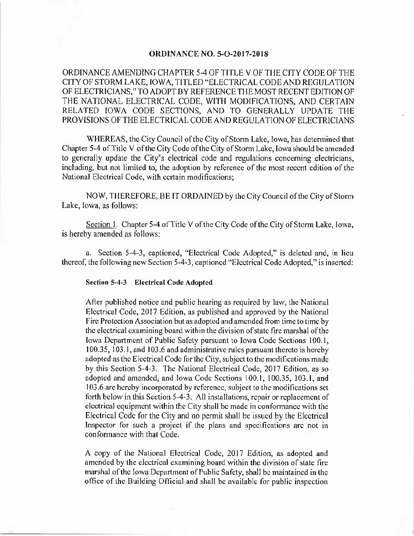### **ORDINANCE NO. 5-O-2017-2018**

ORDINANCE AMENDING CHAPTER 5-4 OF TITLE V OF THE CITY CODE OF THE CITY OF STORM LAKE, IOWA, TITLED" ELECTRICAL CODE AND REGULATION OF ELECTRICIANS," TO ADOPT BY REFERENCE THE MOST RECENT EDITION OF THE NATIONAL ELECTRICAL CODE, WITH MODIFICATIONS, AND CERTAIN RELATED IOWA CODE SECTIONS, AND TO GENERALLY UPDATE THE PROVISIONS OF THE ELECTRICAL CODE AND REGULATION OF ELECTRICIANS

WHEREAS, the City Council of the City of Storm Lake, Iowa, has determined that Chapter 5-4 of Title V of the City Code of the City of Storm Lake, Iowa should be amended to generally update the City's electrical code and regulations concerning electricians, including, but not limited to, the adoption by reference of the most recent edition of the National Electrical Code, with certain modifications;

NOW, THEREFORE, BE IT ORDAINED by the City Council of the City of Storm Lake, Iowa, as follows:

Section 1. Chapter 5-4 of Title V of the City Code of the City of Storm Lake, Iowa, is hereby amended as follows:

a. Section 5-4-3, captioned, "Electrical Code Adopted," is deleted and, in lieu thereof, the following new Section 5-4-3, captioned "Electrical Code Adopted," is inserted:

### Section 5-4-3 Electrical Code Adopted

After published notice and public hearing as required by law, the National Electrical Code, 2017 Edition, as published and approved by the National Fire Protection Association but as adopted and amended from time to time by the electrical examining board within the division ofstate fire marshal ofthe Iowa Department of Public Safety pursuant to Iowa Code Sections 100.1, 100. 35, 103. 1, and 103. 6 and administrative rules pursuant thereto is hereby adopted as the Electrical Code for the City, subject to the modifications made by this Section 5-4-3. The National Electrical Code, 2017 Edition, as so adopted and amended, and Iowa Code Sections 100.1, 100.35, 103.1, and 103. 6 are hereby incorporated by reference, subject to the modifications set forth below in this Section 5-4-3. All installations, repair or replacement of electrical equipment within the City shall be made in conformance with the Electrical Code for the City and no permit shall be issued by the Electrical Inspector for such a project if the plans and specifications are not in conformance with that Code.

A copy of the National Electrical Code, 2017 Edition, as adopted and amended by the electrical examining board within the division of state fire marshal of the Iowa Department of Public Safety, shall be maintained in the office of the Building Official and shall be available for public inspection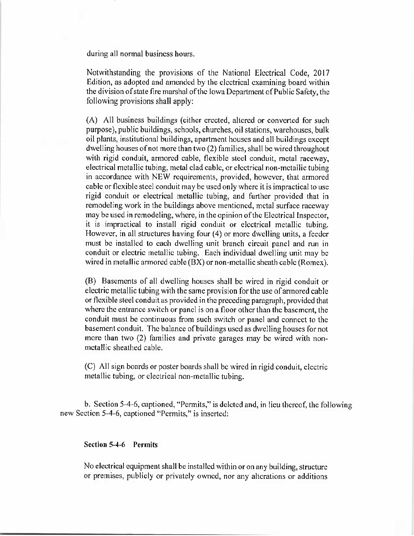during all normal business hours.

Notwithstanding the provisions of the National Electrical Code, 2017 Edition, as adopted and amended by the electrical examining board within the division of state fire marshal of the Iowa Department of Public Safety, the following provisions shall apply:

A) All business buildings ( either erected, altered or converted for such purpose), public buildings, schools, churches, oil stations, warehouses, bulk oil plants, institutional buildings, apartment houses and all buildings except dwelling houses of not more than two (2) families, shall be wired throughout with rigid conduit, armored cable, flexible steel conduit, metal raceway, electrical metallic tubing, metal clad cable, or electrical non-metallic tubing in accordance with NEW requirements, provided, however, that armored cable or flexible steel conduit may be used only where it is impractical to use rigid conduit or electrical metallic tubing, and further provided that in remodeling work in the buildings above mentioned, metal surface raceway may be used in remodeling, where, in the opinion of the Electrical Inspector, it is impractical to install rigid conduit or electrical metallic tubing. However, in all structures having four (4) or more dwelling units, a feeder must be installed to each dwelling unit branch circuit panel and run in conduit or electric metallic tubing. Each individual dwelling unit may be wired in metallic armored cable (BX) or non-metallic sheath cable (Romex).

B) Basements of all dwelling houses shall be wired in rigid conduit or electric metallic tubing with the same provision for the use of armored cable or flexible steel conduit as provided in the preceding paragraph, provided that where the entrance switch or panel is on a floor other than the basement, the conduit must be continuous from such switch or panel and connect to the basement conduit. The balance of buildings used as dwelling houses for not more than two (2) families and private garages may be wired with nonmetallic sheathed cable.

C) All sign boards or poster boards shall be wired in rigid conduit, electric metallic tubing, or electrical non-metallic tubing.

b. Section 5-4-6, captioned, "Permits," is deleted and, in lieu thereof, the following new Section 5-4-6, captioned "Permits," is inserted:

# Section 5-4-6 Permits

No electrical equipment shall be installed within or on any building, structure or premises, publicly or privately owned, nor any alterations or additions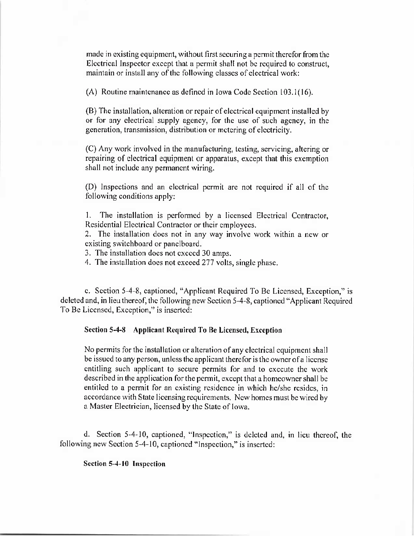made in existing equipment, without first securing a permit therefor from the Electrical Inspector except that a permit shall not be required to construct, maintain or install any of the following classes of electrical work:

A) Routine maintenance as defined in Iowa Code Section 103. 1( 16).

B) The installation, alteration or repair of electrical equipment installed by or for any electrical supply agency, for the use of such agency, in the generation, transmission, distribution or metering of electricity.

C) Any work involved in the manufacturing, testing, servicing, altering or repairing of electrical equipment or apparatus, except that this exemption shall not include any permanent wiring.

D) Inspections and an electrical permit are not required if all of the following conditions apply:

1. The installation is performed by a licensed Electrical Contractor, Residential Electrical Contractor or their employees.

2. The installation does not in any way involve work within a new or existing switchboard or panelboard.

3. The installation does not exceed 30 amps.

4. The installation does not exceed 277 volts, single phase.

c. Section 5-4-8, captioned, "Applicant Required To Be Licensed, Exception," is deleted and, in lieu thereof, the following new Section 5-4-8, captioned "Applicant Required To Be Licensed, Exception," is inserted:

### Section 5-4-8 Applicant Required To Be Licensed, Exception

No permits for the installation or alteration of any electrical equipment shall be issued to any person, unless the applicant therefor is the owner ofa license entitling such applicant to secure permits for and to execute the work described in the application for the permit, except that a homeowner shall be entitled to a permit for an existing residence in which he/she resides, in accordance with State licensing requirements. New homes must be wired by a Master Electrician, licensed by the State of Iowa.

d. Section 5-4-10, captioned, "Inspection," is deleted and, in lieu thereof, the following new Section 5-4-10, captioned "Inspection," is inserted:

# Section 5-4-10 Inspection